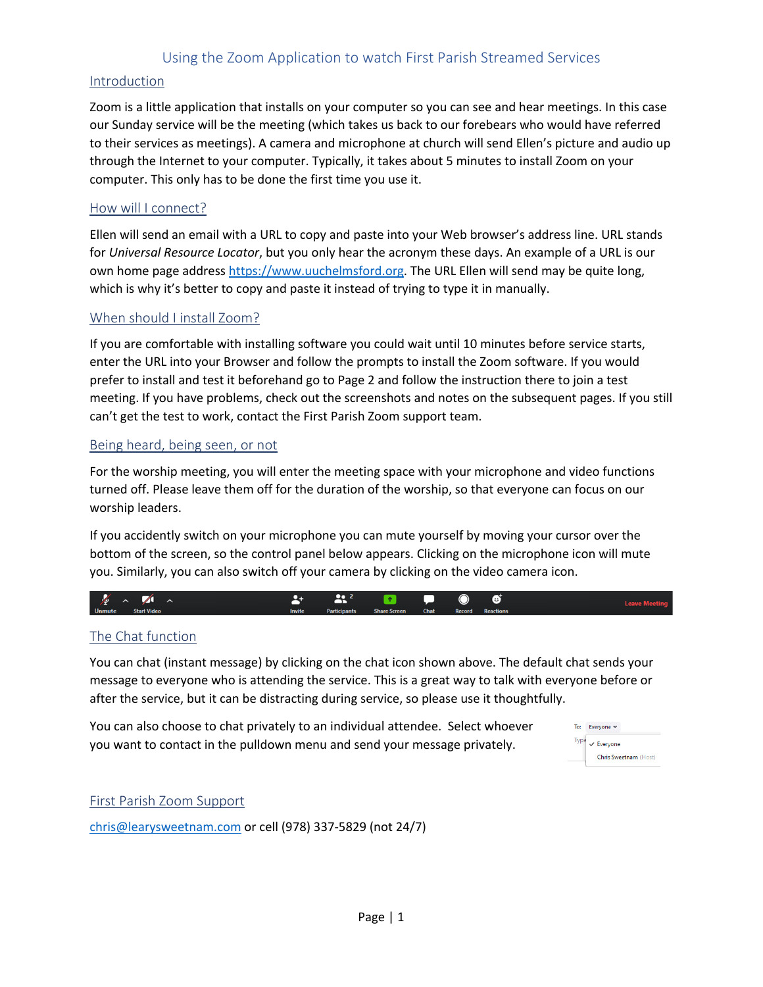## Using the Zoom Application to watch First Parish Streamed Services

## Introduction

Zoom is a little application that installs on your computer so you can see and hear meetings. In this case our Sunday service will be the meeting (which takes us back to our forebears who would have referred to their services as meetings). A camera and microphone at church will send Ellen's picture and audio up through the Internet to your computer. Typically, it takes about 5 minutes to install Zoom on your computer. This only has to be done the first time you use it.

#### How will I connect?

Ellen will send an email with a URL to copy and paste into your Web browser's address line. URL stands for *Universal Resource Locator*, but you only hear the acronym these days. An example of a URL is our own home page address https://www.uuchelmsford.org. The URL Ellen will send may be quite long, which is why it's better to copy and paste it instead of trying to type it in manually.

#### When should I install Zoom?

If you are comfortable with installing software you could wait until 10 minutes before service starts, enter the URL into your Browser and follow the prompts to install the Zoom software. If you would prefer to install and test it beforehand go to Page 2 and follow the instruction there to join a test meeting. If you have problems, check out the screenshots and notes on the subsequent pages. If you still can't get the test to work, contact the First Parish Zoom support team.

#### Being heard, being seen, or not

For the worship meeting, you will enter the meeting space with your microphone and video functions turned off. Please leave them off for the duration of the worship, so that everyone can focus on our worship leaders.

If you accidently switch on your microphone you can mute yourself by moving your cursor over the bottom of the screen, so the control panel below appears. Clicking on the microphone icon will mute you. Similarly, you can also switch off your camera by clicking on the video camera icon.

## The Chat function

You can chat (instant message) by clicking on the chat icon shown above. The default chat sends your message to everyone who is attending the service. This is a great way to talk with everyone before or after the service, but it can be distracting during service, so please use it thoughtfully.

You can also choose to chat privately to an individual attendee. Select whoever you want to contact in the pulldown menu and send your message privately.

| To:  | Everyone Y            |  |  |
|------|-----------------------|--|--|
| Type | $\checkmark$ Everyone |  |  |
|      | Chris Sweetnam (Host) |  |  |

## First Parish Zoom Support

chris@learysweetnam.com or cell (978) 337-5829 (not 24/7)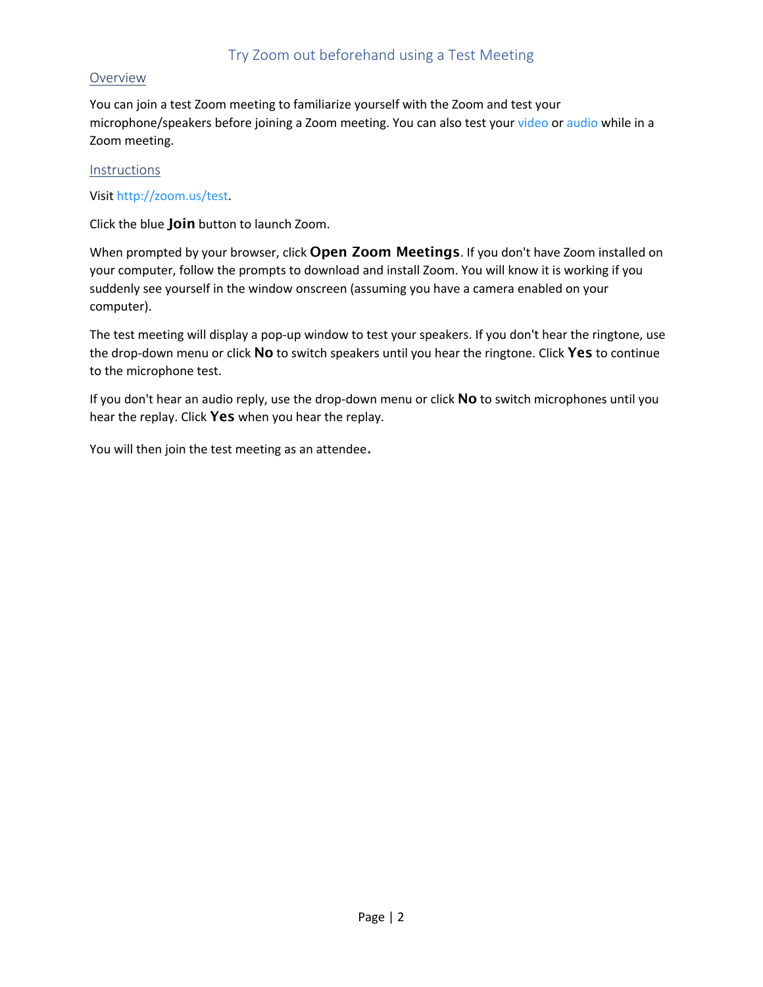# Try Zoom out beforehand using a Test Meeting

#### **Overview**

You can join a test Zoom meeting to familiarize yourself with the Zoom and test your microphone/speakers before joining a Zoom meeting. You can also test your video or audio while in a Zoom meeting.

#### **Instructions**

## Visit http://zoom.us/test.

Click the blue **Join** button to launch Zoom.

When prompted by your browser, click **Open Zoom Meetings**. If you don't have Zoom installed on your computer, follow the prompts to download and install Zoom. You will know it is working if you suddenly see yourself in the window onscreen (assuming you have a camera enabled on your computer).

The test meeting will display a pop-up window to test your speakers. If you don't hear the ringtone, use the drop-down menu or click **No** to switch speakers until you hear the ringtone. Click **Yes** to continue to the microphone test.

If you don't hear an audio reply, use the drop-down menu or click **No** to switch microphones until you hear the replay. Click **Yes** when you hear the replay.

You will then join the test meeting as an attendee.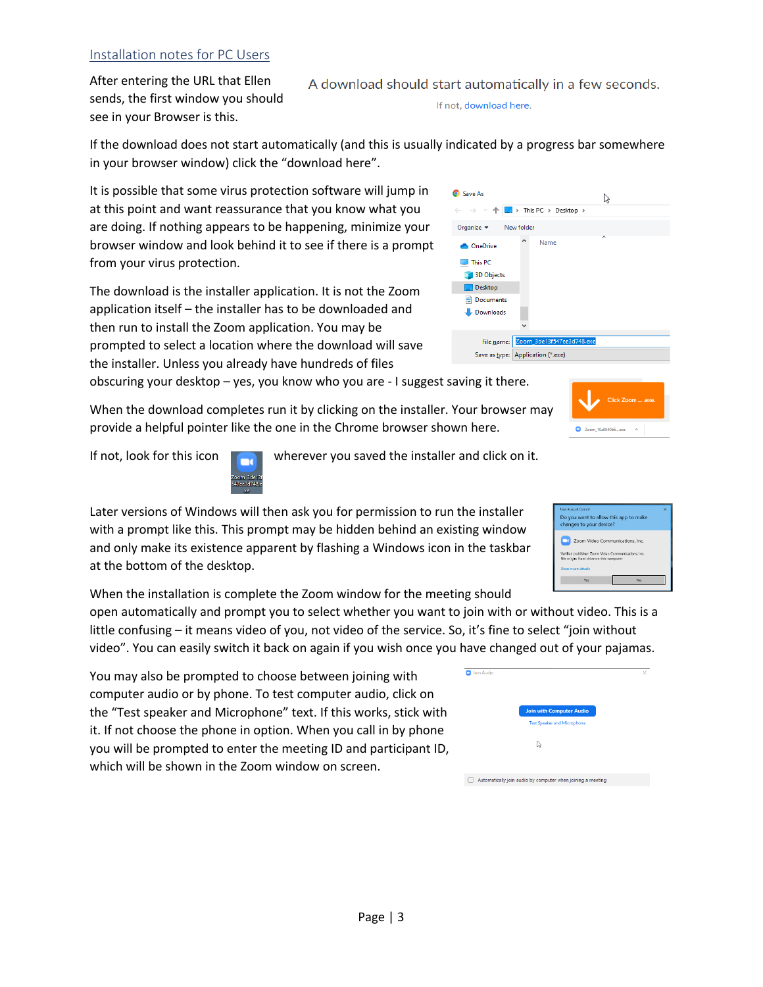## Installation notes for PC Users

After entering the URL that Ellen sends, the first window you should see in your Browser is this.

If the download does not start automatically (and this is usually indicated by a progress bar somewhere in your browser window) click the "download here".

It is possible that some virus protection software will jump in at this point and want reassurance that you know what you are doing. If nothing appears to be happening, minimize your browser window and look behind it to see if there is a prompt from your virus protection.

The download is the installer application. It is not the Zoom application itself – the installer has to be downloaded and then run to install the Zoom application. You may be prompted to select a location where the download will save the installer. Unless you already have hundreds of files

obscuring your desktop – yes, you know who you are - I suggest saving it there.

When the download completes run it by clicking on the installer. Your browser may provide a helpful pointer like the one in the Chrome browser shown here.

If not, look for this icon **The interver you saved the installer and click on it.** 

Later versions of Windows will then ask you for permission to run the installer with a prompt like this. This prompt may be hidden behind an existing window and only make its existence apparent by flashing a Windows icon in the taskbar at the bottom of the desktop.

When the installation is complete the Zoom window for the meeting should

open automatically and prompt you to select whether you want to join w little confusing – it means video of you, not video of the service. So, it's f video". You can easily switch it back on again if you wish once you have out

You may also be prompted to choose between joining with computer audio or by phone. To test computer audio, click on the "Test speaker and Microphone" text. If this works, stick with it. If not choose the phone in option. When you call in by phone you will be prompted to enter the meeting ID and participant ID, which will be shown in the Zoom window on screen.

| ndicated by a progress bar somewhe                  |   |                       |   |
|-----------------------------------------------------|---|-----------------------|---|
| Save As                                             |   |                       | Z |
| $\leftarrow$ $\rightarrow$ $\rightarrow$ $\uparrow$ |   | > This PC > Desktop > |   |
| Organize $\blacktriangleright$<br>New folder        |   |                       |   |
| <b>OneDrive</b>                                     | ۸ | Name                  | ᄉ |
| $\Box$ This PC                                      |   |                       |   |
| <b>3D Objects</b>                                   |   |                       |   |
| Desktop                                             |   |                       |   |

File name: Zoom\_3de13f547ee3d748.exe Save as type: Application (\*.exe)

|            | join with or without video. This is a<br>, it's fine to select "join without |   |
|------------|------------------------------------------------------------------------------|---|
|            | ave changed out of your pajamas.                                             |   |
| Join Audio |                                                                              | × |
|            | <b>Join with Computer Audio</b>                                              |   |
|            | <b>Test Speaker and Microphone</b>                                           |   |
|            |                                                                              |   |

 $\Box$  Automatically join audio by computer when joining a meeting





Documents Downloads

A download should start automatically in a few seconds. If not, download here.